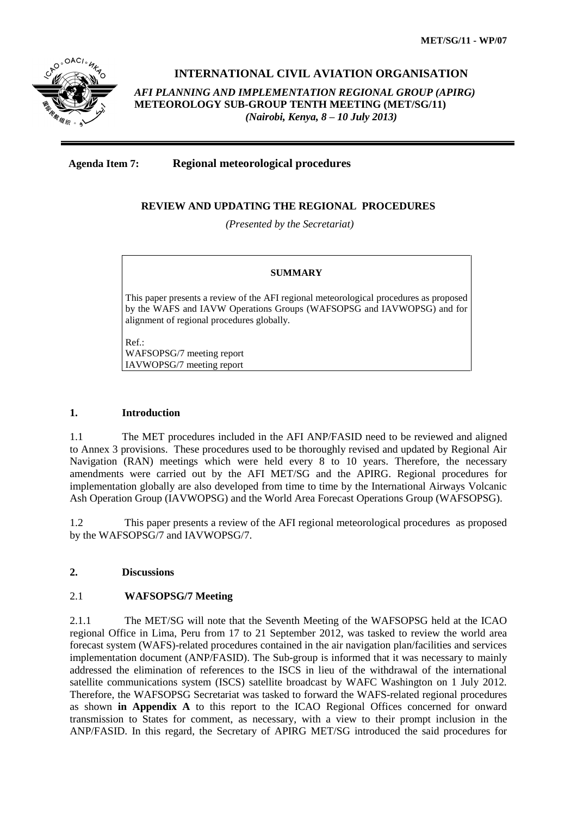

# **INTERNATIONAL CIVIL AVIATION ORGANISATION**

*AFI PLANNING AND IMPLEMENTATION REGIONAL GROUP (APIRG)* **METEOROLOGY SUB-GROUP TENTH MEETING (MET/SG/11)**  *(Nairobi, Kenya, 8 – 10 July 2013)*

**Agenda Item 7: Regional meteorological procedures**

#### **REVIEW AND UPDATING THE REGIONAL PROCEDURES**

*(Presented by the Secretariat)*

#### **SUMMARY**

This paper presents a review of the AFI regional meteorological procedures as proposed by the WAFS and IAVW Operations Groups (WAFSOPSG and IAVWOPSG) and for alignment of regional procedures globally.

Ref.: WAFSOPSG/7 meeting report IAVWOPSG/7 meeting report

#### **1. Introduction**

1.1 The MET procedures included in the AFI ANP/FASID need to be reviewed and aligned to Annex 3 provisions. These procedures used to be thoroughly revised and updated by Regional Air Navigation (RAN) meetings which were held every 8 to 10 years. Therefore, the necessary amendments were carried out by the AFI MET/SG and the APIRG. Regional procedures for implementation globally are also developed from time to time by the International Airways Volcanic Ash Operation Group (IAVWOPSG) and the World Area Forecast Operations Group (WAFSOPSG).

1.2 This paper presents a review of the AFI regional meteorological procedures as proposed by the WAFSOPSG/7 and IAVWOPSG/7.

## **2. Discussions**

#### 2.1 **WAFSOPSG/7 Meeting**

2.1.1 The MET/SG will note that the Seventh Meeting of the WAFSOPSG held at the ICAO regional Office in Lima, Peru from 17 to 21 September 2012, was tasked to review the world area forecast system (WAFS)-related procedures contained in the air navigation plan/facilities and services implementation document (ANP/FASID). The Sub-group is informed that it was necessary to mainly addressed the elimination of references to the ISCS in lieu of the withdrawal of the international satellite communications system (ISCS) satellite broadcast by WAFC Washington on 1 July 2012. Therefore, the WAFSOPSG Secretariat was tasked to forward the WAFS-related regional procedures as shown **in Appendix A** to this report to the ICAO Regional Offices concerned for onward transmission to States for comment, as necessary, with a view to their prompt inclusion in the ANP/FASID. In this regard, the Secretary of APIRG MET/SG introduced the said procedures for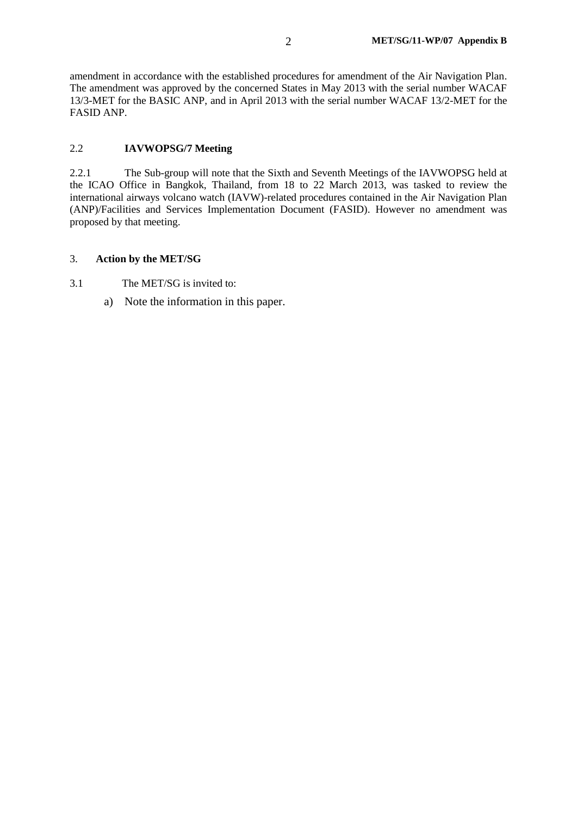amendment in accordance with the established procedures for amendment of the Air Navigation Plan. The amendment was approved by the concerned States in May 2013 with the serial number WACAF 13/3-MET for the BASIC ANP, and in April 2013 with the serial number WACAF 13/2-MET for the FASID ANP.

## 2.2 **IAVWOPSG/7 Meeting**

2.2.1 The Sub-group will note that the Sixth and Seventh Meetings of the IAVWOPSG held at the ICAO Office in Bangkok, Thailand, from 18 to 22 March 2013, was tasked to review the international airways volcano watch (IAVW)-related procedures contained in the Air Navigation Plan (ANP)/Facilities and Services Implementation Document (FASID). However no amendment was proposed by that meeting.

#### 3. **Action by the MET/SG**

- 3.1 The MET/SG is invited to:
	- a) Note the information in this paper.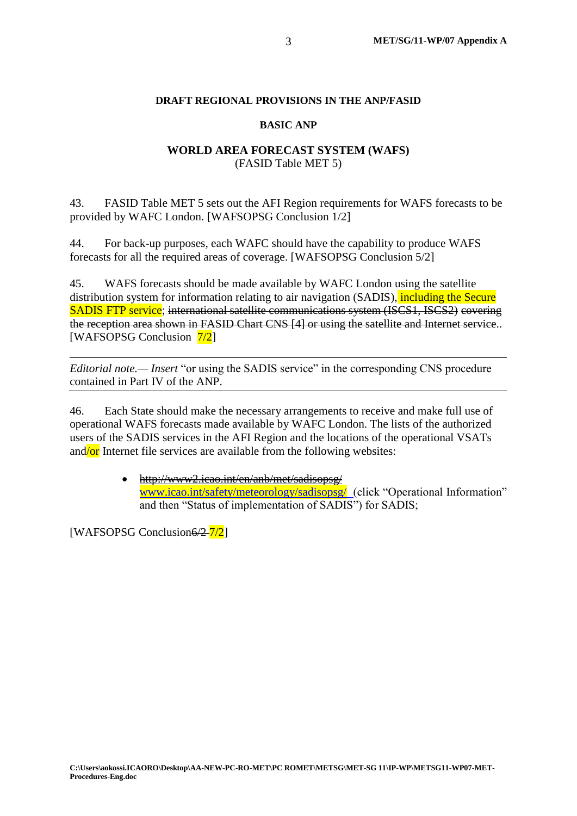## **DRAFT REGIONAL PROVISIONS IN THE ANP/FASID**

## **BASIC ANP**

# **WORLD AREA FORECAST SYSTEM (WAFS)** (FASID Table MET 5)

43. FASID Table MET 5 sets out the AFI Region requirements for WAFS forecasts to be provided by WAFC London. [WAFSOPSG Conclusion 1/2]

44. For back-up purposes, each WAFC should have the capability to produce WAFS forecasts for all the required areas of coverage. [WAFSOPSG Conclusion 5/2]

45. WAFS forecasts should be made available by WAFC London using the satellite distribution system for information relating to air navigation (SADIS), including the Secure SADIS FTP service; international satellite communications system (ISCS1, ISCS2) covering the reception area shown in FASID Chart CNS [4] or using the satellite and Internet service.. [WAFSOPSG Conclusion  $\frac{7}{2}$ ]

*Editorial note.— Insert* "or using the SADIS service" in the corresponding CNS procedure contained in Part IV of the ANP.

46. Each State should make the necessary arrangements to receive and make full use of operational WAFS forecasts made available by WAFC London. The lists of the authorized users of the SADIS services in the AFI Region and the locations of the operational VSATs and/or Internet file services are available from the following websites:

> <http://www2.icao.int/en/anb/met/sadisopsg/> www.icao.int/safety/meteorology/sadisopsg/ (click "Operational Information" and then "Status of implementation of SADIS") for SADIS;

[WAFSOPSG Conclusion6/2-7/2]